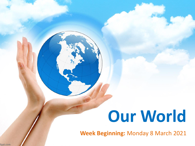# **Our World**

**Week Beginning:** Monday 8 March 2021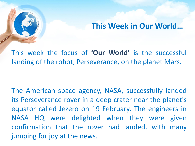#### **This Week in Our World…**

This week the focus of **'Our World'** is the successful landing of the robot, Perseverance, on the planet Mars.

The American space agency, NASA, successfully landed its Perseverance rover in a deep crater near the planet's equator called Jezero on 19 February. The engineers in NASA HQ were delighted when they were given confirmation that the rover had landed, with many jumping for joy at the news.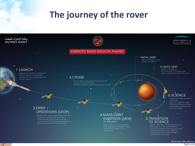# **The journey of the rover**

#### وكالة الإمارات للفضاء **UAE SPACE AGENCY EMIRATES MARS MISSION PHASES INITIAL ORBIT** 40-hour elliptical orbit  $-1.000 \times 49.380$  km **SCIENCE ORBIT** 1.LAUNCH 20,000 x 43,000 km - The probe will complete one Begins after Probe is configured and enclosed in the launch  $-3$ .CRUISE vehicle and lasts until receiving the first signal is done in the EOP Phase<br>Normal Operation with 2-3 contacts a week  $2.EARLY$  $-$ **OPERATIONS (LEOP) 4.MARS ORBIT** Begins after launch and lasted (45 days) - Constant contact with the Probe **INSERTION (MOI)** Characterizing and evaluation the performance of all probe components in (9 FEB 2021) space environment for the first time

6.SCIENCE

orbit of the planet every 55 hours

- Where the science data is
- lasts for 1 Martian year (687 Earth Days) with the possibility to extend it for one more year

#### 5.TRANSITION **TO SCIENCE**

Begins after MOI phase and last until During the phase after the spacecraft commissioning is done, different maneuvers will be conducted to achieve the final orbit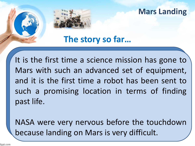**Mars Landing**

**The story so far…**

It is the first time a science mission has gone to Mars with such an advanced set of equipment, and it is the first time a robot has been sent to such a promising location in terms of finding past life.

NASA were very nervous before the touchdown because landing on Mars is very difficult.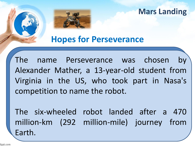**Mars Landing**



## **Hopes for Perseverance**

The name Perseverance was chosen by Alexander Mather, a 13-year-old student from Virginia in the US, who took part in Nasa's competition to name the robot.

The six-wheeled robot landed after a 470 million-km (292 million-mile) journey from Earth.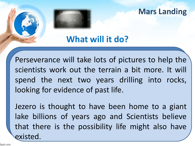#### **Mars Landing**

# **What will it do?**

Perseverance will take lots of pictures to help the scientists work out the terrain a bit more. It will spend the next two years drilling into rocks, looking for evidence of past life.

Jezero is thought to have been home to a giant lake billions of years ago and Scientists believe that there is the possibility life might also have existed.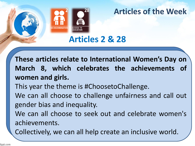

### **Articles of the Week**

**Articles 2 & 28**

**These articles relate to International Women's Day on March 8, which celebrates the achievements of women and girls.**

This year the theme is #ChoosetoChallenge.

We can all choose to challenge unfairness and call out gender bias and inequality.

We can all choose to seek out and celebrate women's achievements.

Collectively, we can all help create an inclusive world.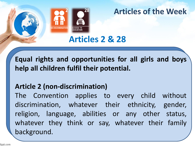

### **Articles of the Week**

# **Articles 2 & 28**

**Equal rights and opportunities for all girls and boys help all children fulfil their potential.**

#### **Article 2 (non-discrimination)**

The Convention applies to every child without discrimination, whatever their ethnicity, gender, religion, language, abilities or any other status, whatever they think or say, whatever their family background.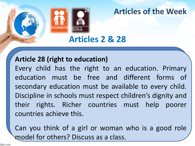

#### **Articles of the Week**

**Articles 2 & 28**

#### **Article 28 (right to education)**

Every child has the right to an education. Primary education must be free and different forms of secondary education must be available to every child. Discipline in schools must respect children's dignity and their rights. Richer countries must help poorer countries achieve this.

Can you think of a girl or woman who is a good role model for others? Discuss as a class.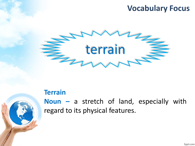### **Vocabulary Focus**



#### **Terrain**

**Noun –** a stretch of land, especially with regard to its physical features.